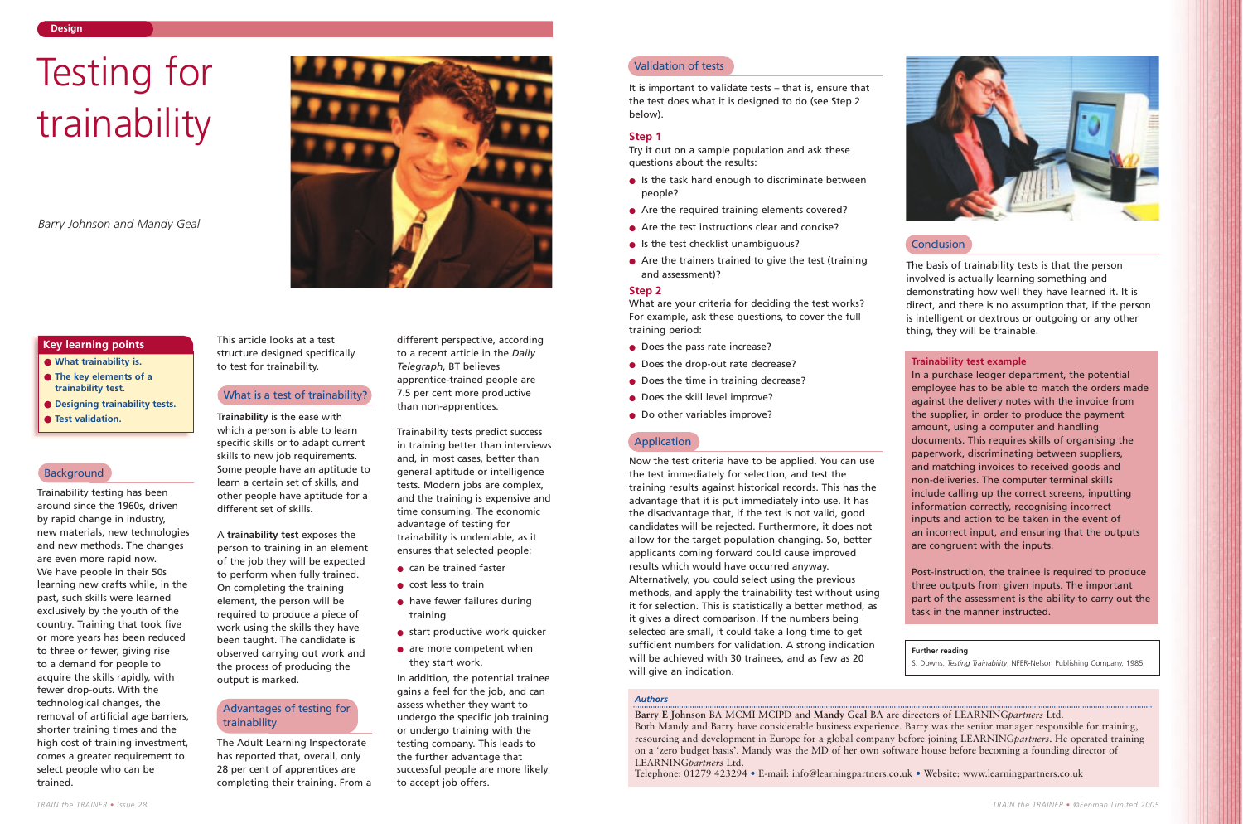Trainability testing has been around since the 1960s, driven by rapid change in industry, new materials, new technologies and new methods. The changes are even more rapid now. We have people in their 50s learning new crafts while, in the past, such skills were learned exclusively by the youth of the country. Training that took five or more years has been reduced to three or fewer, giving rise to a demand for people to acquire the skills rapidly, with fewer drop-outs. With the technological changes, the removal of artificial age barriers, shorter training times and the high cost of training investment, comes a greater requirement to select people who can be trained.

This article looks at a test structure designed specifically to test for trainability.

## What is a test of trainability?

**Trainability** is the ease with which a person is able to learn specific skills or to adapt current skills to new job requirements. Some people have an aptitude to learn a certain set of skills, and other people have aptitude for a different set of skills.

- can be trained faster
- cost less to train
- have fewer failures during training
- start productive work quicker
- are more competent when they start work.

A **trainability test** exposes the person to training in an element of the job they will be expected to perform when fully trained. On completing the training element, the person will be required to produce a piece of work using the skills they have been taught. The candidate is observed carrying out work and the process of producing the output is marked.

The Adult Learning Inspectorate has reported that, overall, only 28 per cent of apprentices are completing their training. From a

different perspective, according to a recent article in the *Daily Telegraph*, BT believes apprentice-trained people are 7.5 per cent more productive than non-apprentices.

Trainability tests predict success in training better than interviews and, in most cases, better than general aptitude or intelligence tests. Modern jobs are complex, and the training is expensive and time consuming. The economic advantage of testing for trainability is undeniable, as it ensures that selected people:

- Is the task hard enough to discriminate between people?
- Are the required training elements covered?
- Are the test instructions clear and concise?
- Is the test checklist unambiguous?
- $\bullet$  Are the trainers trained to give the test (training and assessment)?

- Does the pass rate increase?
- Does the drop-out rate decrease?
- Does the time in training decrease?
- Does the skill level improve?
- Do other variables improve?

In addition, the potential trainee gains a feel for the job, and can assess whether they want to undergo the specific job training or undergo training with the testing company. This leads to the further advantage that successful people are more likely to accept job offers.

*TRAIN the TRAINER • Issue 28*

- **What trainability is.**
- **The key elements of a trainability test.**
- **Designing trainability tests.**
- **Test validation.**

## **Background**

# **Key learning points**

#### *Authors*

**Barry E Johnson** BA MCMI MCIPD and **Mandy Geal** BA are directors of LEARNING*partners* Ltd. Both Mandy and Barry have considerable business experience. Barry was the senior manager responsible for training, resourcing and development in Europe for a global company before joining LEARNING*partners*. He operated training on a 'zero budget basis'. Mandy was the MD of her own software house before becoming a founding director of LEARNING*partners* Ltd.

Telephone: 01279 423294 • E-mail: info@learningpartners.co.uk • Website: www.learningpartners.co.uk





# Testing for trainability

*Barry Johnson and Mandy Geal*

# Advantages of testing for trainability

It is important to validate tests – that is, ensure that the test does what it is designed to do (see Step 2 below).

#### **Step 1**

Try it out on a sample population and ask these questions about the results:

## **Step 2**

What are your criteria for deciding the test works? For example, ask these questions, to cover the full training period:

Now the test criteria have to be applied. You can use the test immediately for selection, and test the training results against historical records. This has the advantage that it is put immediately into use. It has the disadvantage that, if the test is not valid, good candidates will be rejected. Furthermore, it does not allow for the target population changing. So, better applicants coming forward could cause improved results which would have occurred anyway. Alternatively, you could select using the previous methods, and apply the trainability test without using it for selection. This is statistically a better method, as it gives a direct comparison. If the numbers being selected are small, it could take a long time to get sufficient numbers for validation. A strong indication will be achieved with 30 trainees, and as few as 20 will give an indication.

# **Conclusion**

The basis of trainability tests is that the person involved is actually learning something and demonstrating how well they have learned it. It is direct, and there is no assumption that, if the person is intelligent or dextrous or outgoing or any other thing, they will be trainable.

# **Trainability test example**

In a purchase ledger department, the potential employee has to be able to match the orders made against the delivery notes with the invoice from the supplier, in order to produce the payment amount, using a computer and handling documents. This requires skills of organising the paperwork, discriminating between suppliers, and matching invoices to received goods and non-deliveries. The computer terminal skills include calling up the correct screens, inputting information correctly, recognising incorrect inputs and action to be taken in the event of an incorrect input, and ensuring that the outputs are congruent with the inputs.

Post-instruction, the trainee is required to produce three outputs from given inputs. The important part of the assessment is the ability to carry out the task in the manner instructed.

**Further reading**

S. Downs, *Testing Trainability*, NFER-Nelson Publishing Company, 1985.

## Validation of tests

# Application